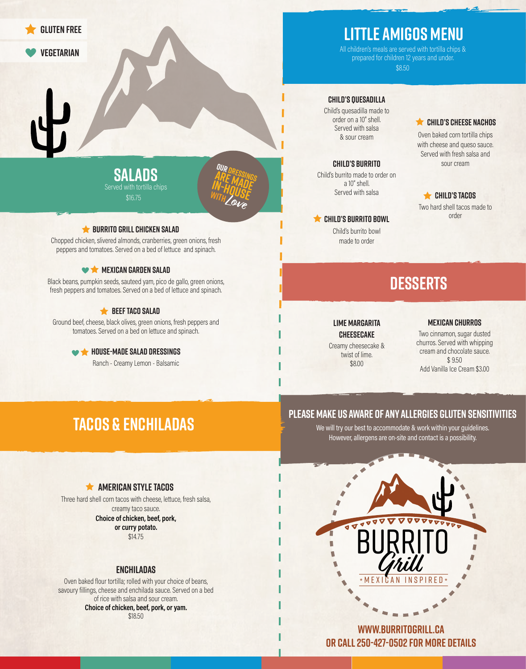

# **Little Amigos Menu**

\$8.50 All children's meals are served with tortilla chips & prepared for children 12 years and under.

### **CHILD's quesadilla**

Child's quesadilla made to order on a 10" shell. Served with salsa & sour cream

#### **CHILD's Burrito**

Child's burrito made to order on a 10" shell. Served with salsa

**CHILD's burrito bowl** Child's burrito bowl made to order

# **CHILD's Cheese Nachos**

Oven baked corn tortilla chips with cheese and queso sauce. Served with fresh salsa and sour cream

### **CHILD's Tacos**

Two hard shell tacos made to order

# **DESSERTS**

# **LiME Margarita**

**Cheesecake** Creamy cheesecake & twist of lime. \$8.00

#### **Mexican Churros**

Two cinnamon, sugar dusted churros. Served with whipping cream and chocolate sauce.  $$9.50$ Add Vanilla Ice Cream \$3.00

# **Tacos & Enchiladas**

# **Please make us aware of any allergies gluten sensitivities**

We will try our best to accommodate & work within your guidelines. However, allergens are on-site and contact is a possibility.

# **AMERICAN STYLE TACOS**

Three hard shell corn tacos with cheese, lettuce, fresh salsa, creamy taco sauce. Choice of chicken, beef, pork, or curry potato. \$14.75

# **Enchiladas**

Oven baked flour tortilla; rolled with your choice of beans, savoury fillings, cheese and enchilada sauce. Served on a bed of rice with salsa and sour cream. Choice of chicken, beef, pork, or yam. \$18.50



**www.burritogrill.ca or call 250-427-0502 for more details**

# **Salads** Served with tortilla chips  $$16.75$

**OUR DRESSINGS** ARE<sup>RESSING</sup><br>M-HOMADE **IN-HOUSE**<br>WITH LUSE **with Love**

# **BURRITO GRILL CHICKEN SALAD**

Chopped chicken, slivered almonds, cranberries, green onions, fresh peppers and tomatoes. Served on a bed of lettuce and spinach.

# **MEXICAN GARDEN SALAD**

Black beans, pumpkin seeds, sauteed yam, pico de gallo, green onions, fresh peppers and tomatoes. Served on a bed of lettuce and spinach.

# **BEEF TACO SALAD**

Ground beef, cheese, black olives, green onions, fresh peppers and tomatoes. Served on a bed on lettuce and spinach.

> **WA HOUSE-MADE SALAD DRESSINGS** Ranch - Creamy Lemon - Balsamic